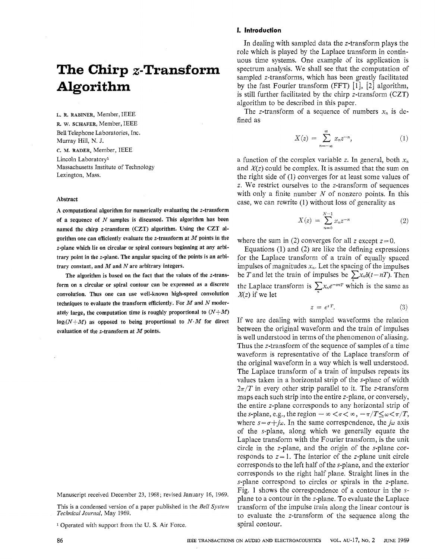# **The Chirp x-Transform Algorithm**

**L. R. RABINER,** Member, IEEE **R.** w. **SCHAFER,** Member, IEEE Bell Telephone Laboratories, Inc. 1Murray Hill, N. J. **c. M. RADER,** Member, IEEE

Lincoln Laboratory1 Massachusetts Institute of Technology Lexington, Mass.

## Abstract

**A** computational algorithm for numerically evaluating the z-transform of a sequence of *N* samples is discussed. This algorithm has been named the chirp z-transform (CZT) algorithm. Using the CZT algorithm **one** can efficiently evaluate the z-transform at *M* points in the z-plane which lie **on** circular or spiral contours beginning at any arbitrary point in the z-plane. The angular spacing of the points is an arbitrary constant, and *M* **and** *N* are arbitrary integers.

The algorithm is based **on** the fact that the values of the z-transform **on** a circular or spiral contour can be expressed as a discrete convolution. Thus one can use well-known high-speed convolution techniques to evaluate the transform efficiently. For *M* and *N* moderately large, the computation time is roughly proportional to *(N+M)*   $log_2(N+M)$  as opposed to being proportional to  $N \cdot M$  for direct evaluation of the z-transform at *M* points.

Manuscript received December 23, 1968; revised January 16, 1969.

This is a condensed version of a paper published in the *Bell System Technical Journal,* May 1969.

Operated with support from the U. **S.** Air Force.

#### **1, Introduction**

In dealing with sampled data the z-transform plays the role which is played by the Laplace transform in continuous time systems. One example of its application is spectrum analysis. We shall see that the computation of sampled z-transforms, which has been greatly facilitated by the fast Fourier transform (FFT)  $[1]$ ,  $[2]$  algorithm, is still further facilitated by the chirp z-transform (CZT) algorithm to be described in this paper.

The z-transform of a sequence of numbers  $x_n$  is defined as

$$
X(z) = \sum_{n=-\infty}^{\infty} x_n z^{-n}, \qquad (1)
$$

a function of the complex variable  $z$ . In general, both  $x_n$ and *X(z)* could be complex. It is assumed that the sum on the right side of (1) converges for at least some values of z. We restrict ourselves to the z-transform of sequences with only a finite number *N* of nonzero points. In this case, we can rewrite (1) without loss of generality as

$$
X(z) = \sum_{n=0}^{N-1} x_n z^{-n}
$$
 (2)

where the sum in (2) converges for all z except  $z=0$ .

Equations (1) and (2) are like the defining expressions for the Laplace transform of a train of equally spaced impulses of magnitudes  $x_n$ . Let the spacing of the impulses be *T* and let the train of impulses be  $\sum x_n \delta(t - nT)$ . Then the Laplace transform is  $\sum x_n e^{-snT}$  which is the same as  $X(z)$  if we let

$$
z = e^{sT}.
$$
 (3)

If we are dealing with sampled waveforms the relation between the original waveform and the train of impulses is well understood in terms of the phenomenon of aliasing. Thus the z-transform of the sequence of samples of a time waveform is representative of the Laplace transform of the original waveform in a way which is well understood. The Laplace transform of a train of impulses repeats its values taken in a horizontal strip of the s-plane of width  $2\pi/T$  in every other strip parallel to it. The z-transform maps each such strip into the entire z-plane, or conversely, the entire z-plane corresponds to any horizontal strip of the *s*-plane, e.g., the region  $-\infty < \sigma < \infty$ ,  $-\pi/T \leq \omega < \pi/T$ , where  $s = \sigma + j\omega$ . In the same correspondence, the  $j\omega$  axis of the s-plane, along which we generally equate the Laplace transform with the Fourier transform, is the unit circle in the z-plane, and the origin of the s-plane corresponds to  $z = 1$ . The interior of the z-plane unit circle corresponds to the left half of the x-plane, and the exterior corresponds to the right half plane. Straight lines in the s-plane correspond to circles or spirals in the z-plane. Fig. 1 shows the correspondence of a contour in the splane to a contour in the z-plane. To evaluate the Laplace transform of the impulse train along the linear contour is to evaluate the z-transform of the sequence along the spiral contour.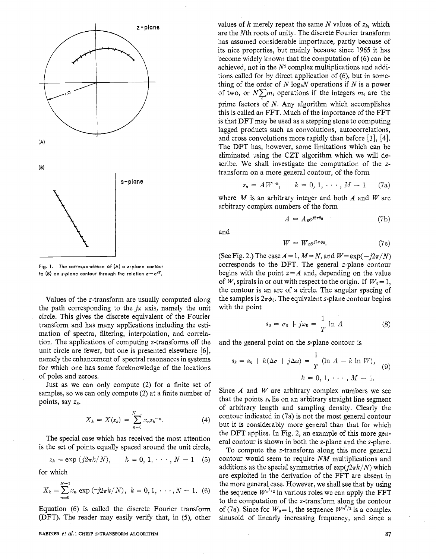

**Fig. 1. The correspondence** of **(A) a z-plane contour to** (B) **an s-plane contour through the relation** *z=esT.* 

Values of the z-transform are usually computed along the path corresponding to the  $j\omega$  axis, namely the unit circle. This gives the discrete equivalent of the Fourier transform and has many applications including the estimation of spectra, filtering, interpolation, and correlation. The applications of computing z-transforms off the unit circle are fewer, but one is presented elsewhere *[6],*  namely the enhancement of spectral resonances in systems for which one has some foreknowledge of the locations of poles and zeroes.

Just as we can only compute (2) for a finite set of samples, so we can only compute (2) at a finite number of points, say *zk.* 

$$
X_k = X(z_k) = \sum_{n=0}^{N-1} x_n z_k^{-n}.
$$
 (4)

The special case which has received the most attention is the set of points equally spaced around the unit circle,

$$
z_k = \exp(j2\pi k/N), \qquad k = 0, 1, \cdots, N-1 \quad (5)
$$

for which

$$
X_k = \sum_{n=0}^{N-1} x_n \exp\left(-j2\pi k/N\right), \quad k = 0, 1, \cdots, N-1. \tag{6}
$$

values of  $k$  merely repeat the same  $N$  values of  $z_k$ , which are the Nth roots of unity. The discrete Fourier transform has assumed considerable importance, partly because of its nice properties, but mainly because since 1965 it has become widely known that the computation of (6) can be achieved, not in the *N2* complex multiplications and additions called for by direct application of *(6),* but in something of the order of  $N \log_2 N$  operations if  $N$  is a power of two, or  $N \sum m_i$  operations if the integers  $m_i$  are the prime factors of *N.* Any algorithm which accomplishes this is called an FFT. Much of the importance of the FFT is that DFT may be used as a stepping stone to computing lagged products such as convolutions, autocorrelations, and cross convolutions more rapidly than before [3], [4]. The DFT has, however, some limitations which can be eliminated using the CZT algorithm which we will describe. We shall investigate the computation of the ztransform on a more general contour, of the form

$$
z_k = AW^{-k}
$$
,  $k = 0, 1, \dots, M - 1$  (7a)

where *M* is an arbitrary integer and both *A* and *W* are arbitrary complex numbers of the form

$$
A = A_0 e^{j2\pi\theta_0} \tag{7b}
$$

and

$$
W = W_0 e^{j2\pi\phi_0}.\tag{7c}
$$

(See Fig. 2.) The case  $A = 1$ ,  $M = N$ , and  $W = \exp(-i2\pi/N)$ corresponds to the DFT. The general z-plane contour begins with the point  $z = A$  and, depending on the value of *W*, spirals in or out with respect to the origin. If  $W_0 = 1$ , the contour is an arc of a circle. The angular spacing of the samples is  $2\pi\phi_0$ . The equivalent s-plane contour begins with the point

$$
s_0 = \sigma_0 + j\omega_0 = \frac{1}{T} \ln A \tag{8}
$$

and the general point on the s-plane contour is

$$
s_k = s_0 + k(\Delta \sigma + j\Delta \omega) = \frac{1}{T} (\ln A - k \ln W),
$$
  
\n
$$
k = 0, 1, \dots, M - 1.
$$
 (9)

Since *A* and *W* are arbitrary complex numbers we see that the points  $s_k$  lie on an arbitrary straight line segment of arbitrary length and sampling density. Clearly the contour indicated in (7a) is not the most general contour but it is considerably more general than that for which the DFT applies. In Fig. 2, an example of this more general contour is shown in both the z-plane and the s-plane.

To compute the z-transform along this more general *zk* = **exp** *(jznk/~), k* = *0,* 1, . . **I** , *N* - <sup>1</sup>*(5)* contour would seem to require *NM* multiplications and additions as the special symmetries of  $\exp(i2\pi k/N)$  which are exploited in the derivation of the FFT are absent in the sequence  $W^{n^2/2}$  in various roles we can apply the FFT to the computation of the z-transform along the contour Equation (6) is called the discrete Fourier transform of (7a). Since for  $W_0 = 1$ , the sequence  $W^{n^2/2}$  is a complex (DFT). The reader may easily verify that, in *(5),* other sinusoid of linearly increasing frequency, and since a the more general case. However, we shall see that by using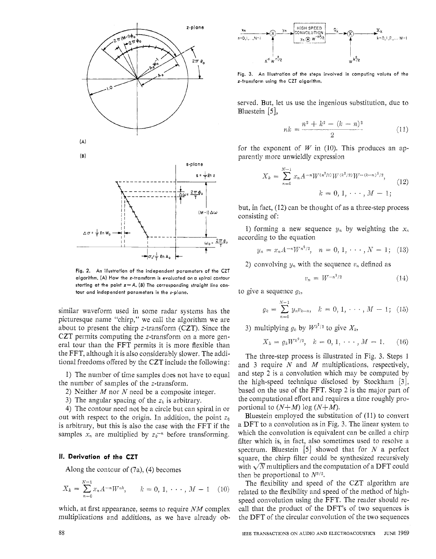

**Fig. 2.** An illustration of the independent parameters of the CZT algorithm. (A) How the z-transform is evaluated on a spiral contour starting at the point *z=A. (B)* The corresponding straight line contour and independent parameters in the s-plane.

similar waveform used in some radar systems has the picturesque name "chirp," we call the algorithm we are about to present the chirp z-transform (CZT). Since the CZT permits computing the z-transform on a more general tour than the FFT permits it is more flexible than the FFT, although it is also considerably slower. The additional freedoms offered by the CZT include the following:

1) The number of time samples does not have to equal the number of samples of the z-transform.

2) Neither *M* nor *N* need be a composite integer.

3) The angular spacing of the  $z_k$  is arbitrary.

4) The contour need not be a circle but can spiral in or out with respect to the origin. In addition, the point *zo*  is arbitrary, but this is also the case with the FFT if the samples  $x_n$  are multiplied by  $z_0^{n}$  before transforming.

## **II, Derivation of the CZT**

Along the contour of (7a), (4) becomes

$$
X_k = \sum_{n=0}^{N-1} x_n A^{-n} W^{nk}, \qquad k = 0, 1, \cdots, M-1 \quad (10)
$$

which, at first appearance, seems to require *NM* complex multiplications and additions, as we have already ob-



**Fig.** 3. An illustration of the steps involved in computing values of the z-transform using the CZT algorithm.

served. But, let us use the ingenious substitution, due to Bluestein *[5],* 

$$
nk = \frac{n^2 + k^2 - (k - n)^2}{2} \tag{11}
$$

for the exponent of  $W$  in (10). This produces an apparently more unwieldly expression

$$
X_k = \sum_{n=0}^{N-1} x_n A^{-n} W^{(n^2/2)} W^{(k^2/2)} W^{-(k-n)^2/2},
$$
  
\n
$$
k = 0, 1, \cdots, M-1;
$$
\n(12)

but, in fact, (12) can be thought of as a three-step process consisting of:

1) forming a new sequence  $y_n$  by weighting the  $x_n$ according to the equation

$$
y_n = x_n A^{-n} W^{n^2/2}, \quad n = 0, 1, \cdots, N-1; \quad (13)
$$

2) convolving  $y_n$  with the sequence  $v_n$  defined as

$$
v_n = W^{-n^2/2} \tag{14}
$$

to give a sequence *gk,* 

$$
g_k = \sum_{n=0}^{N-1} y_n v_{k-n}, \quad k = 0, 1, \cdots, M-1; \quad (15)
$$

3) multiplying  $q_k$  by  $W^{k^2/2}$  to give  $X_k$ ,

$$
X_k = g_k W^{k^2/2}, \quad k = 0, 1, \cdots, M - 1. \tag{16}
$$

The three-step process is illustrated in Fig. 3. Steps 1 and 3 require *N* and *M* multiplications, respectively, and step 2 is a convolution which may be computed by the high-speed technique disclosed by Stockham *[3],*  based on the use of the FFT. Step 2 is the major part of the computational effort and requires a time roughly proportional to  $(N+M)$  log  $(N+M)$ .

Bluestein employed the substitution of  $(11)$  to convert a DFT to a convolution as in Fig. 3. The linear system to which the convolution is equivalent can be called a chirp filter which is, in fact, also sometimes used to resolve a spectrum. Bluestein *[5]* showed that for *N* a perfect square, the chirp filter could be synthesized recursively with  $\sqrt{N}$  multipliers and the computation of a DFT could then be proportional to *N3/2.* 

The flexibility and speed of the CZT algorithm are related to the flexibility and speed of the method of highspeed convolution using the FFT. The reader should recall that the product of the DFT's of two sequences is the DFT of the circular convolution of the two sequences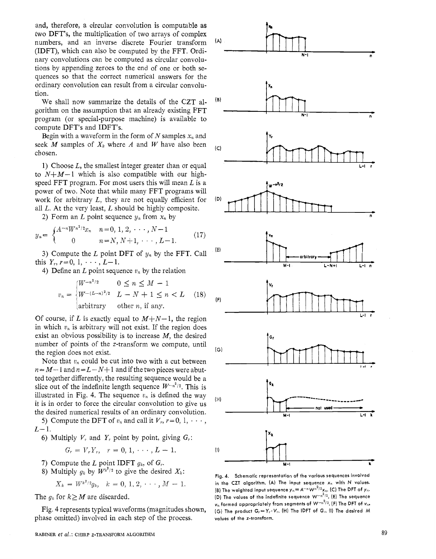and, therefore, a circular convolution is computable as two DFT's, the multiplication of two arrays of complex numbers, and an inverse discrete Fourier transform (IDFT), which can also be computed by the FFT. Ordinary convolutions can be computed as circular convolutions by appending zeroes to the end of one or both sequences so that the correct numerical answers for the ordinary convolution can result from a circular convolution.

We shall now summarize the details of the CZT alprogram (or special-purpose machine) is available to compute DFT's and IDFT's. gorithm on the assumption that an already existing FFT

Begin with a waveform in the form of  $N$  samples  $x_n$  and seek *M* samples of  $X_k$  where *A* and *W* have also been  $(C_k)$ chosen.

1) Choose *L*, the smallest integer greater than or equal to  $N+M-1$  which is also compatible with our highspeed FFT program. For most users this will mean *L* is a power of two. Note that while many FFT programs will work for arbitrary *L*, they are not equally efficient for (D) all *L.* At the very least, *L* should be highly composite.

2) Form an *L* point sequence  $y_n$  from  $x_n$  by

$$
y_n = \begin{cases} A^{-n} W^{n^2/2} x_n & n = 0, 1, 2, \cdots, N-1 \\ 0 & n = N, N+1, \cdots, L-1. \end{cases}
$$
 (17)

3) Compute the *L* point DFT of  $y_n$  by the FFT. Call this  $Y_r$ ,  $r=0, 1, \cdots, L-1$ .

4) Define an  $L$  point sequence  $v_n$  by the relation

$$
v_n = \begin{cases} W^{-n^2/2} & 0 \le n \le M - 1\\ W^{-(L-n)^2/2} & L - N + 1 \le n < L\\ \text{arbitrary} & \text{other } n, \text{ if any.} \end{cases} \tag{18}
$$

Of course, if L is exactly equal to  $M+N-1$ , the region in which  $v_n$  is arbitrary will not exist. If the region does exist an obvious possibility is to increase *M,* the desired number of points of the z-transform we compute, until the region does not exist.

Note that  $v_n$  could be cut into two with a cut between  $n = M-1$  and  $n = L-N+1$  and if the two pieces were abutted together differently, the resulting sequence would be a slice out of the indefinite length sequence  $W^{-n^2/2}$ . This is illustrated in Fig. 4. The sequence  $v_n$  is defined the way  $\begin{bmatrix} \n\text{ii} \n\end{bmatrix}$ it is in order to force the circular convolution to give us the desired numerical results of an ordinary convolution.

5) Compute the DFT of  $v_n$  and call it  $V_r$ ,  $r = 0, 1, \cdots$ ,  $L - 1$ .

6) Multiply  $V_r$  and  $Y_r$  point by point, giving  $G_r$ :<br>  $G_r = V_r Y_r$ ,  $r = 0, 1, \dots, L - 1$ .

$$
G_r = V_r Y_r, \quad r = 0, 1, \cdots, L-1.
$$

7) Compute the *L* point IDFT  $g_k$ , of  $G_r$ .

8) Multiply  $g_k$  by  $W^{k^2/2}$  to give the desired  $X_k$ :<br>  $X_k = W^{k^2/2}g_k$ ,  $k = 0, 1, 2, \dots, M - 1$ .

$$
X_k = W^{k^2/2}g_k, \quad k = 0, 1, 2, \cdots, M-1.
$$

The  $g_k$  for  $k \geq M$  are discarded.

Fig. 4 represents typical waveforms (magnitudes shown, phase omitted) involved in each step of the process.



**Fig. 4. Schematic representation of the various sequences involved**  in the CZT algorithm. (A) The input sequence  $x_n$  with N values. (B) The weighted input sequence  $y_n = A^{-n} W^{n^2/2} x_n$ . (C) The DFT of  $y_n$ . (D) The values of the indefinite sequence  $W^{-n^2/2}$ . (E) The sequence **vn formed appropriately from segments of W-n2/z. (F) The DFT of** *vn.*   $(G)$  The product  $G_r = Y_r \cdot V_r$ .  $(H)$  The IDFT of  $G_r$ .  $(I)$  The desired M values of the z-transform.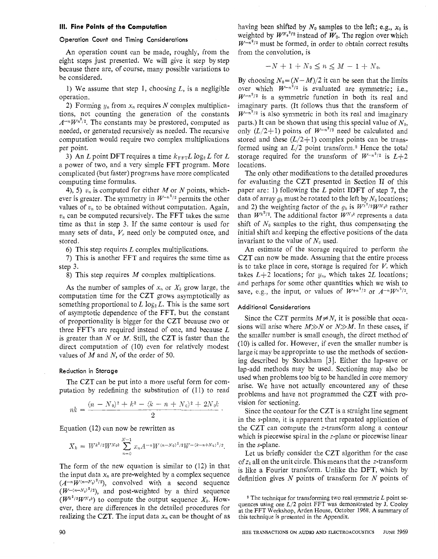#### **111. Fine Points of the Computation**

## **Operation Count and Timing Considerations**

An operation count can be made, roughly, from the eight steps just presented. We will give it step by step because there are, of course, many possible variations to be considered.

1) We assume that step 1, choosing *L,* is a negligible operation.

2) Forming  $y_n$  from  $x_n$  requires *N* complex multiplications, not counting the generation of the constants  $A^{-n}W^{n^2/2}$ . The constants may be prestored, computed as needed, or generated recursively as needed. The recursive computation would require two complex multiplications per point.

3) An *L* point DFT requires a time  $k_{\text{FFT}} L \log_2 L$  for *L* a power of two, and a very simple FFT program. More complicated (but faster) programs have more complicated computing time formulas.

**4), 5)**  $v_n$  is computed for either *M* or *N* points, whichever is greater. The symmetry in  $W^{-n^2/2}$  permits the other values of  $v_n$  to be obtained without computation. Again,  $v_n$  can be computed recursively. The FFT takes the same time as that in step 3. If the same contour is used for many sets of data,  $V_r$  need only be computed once, and stored.

**6)** This step requires *L* complex multiplications.

**7)** This is another FFT and requires the same time as step 3.

8) This step requires *M* complex multiplications.

As the number of samples of  $x_n$  or  $X_k$  grow large, the computation time for the CZT grows asymptotically as something proportional to  $L \log_2 L$ . This is the same sort of asymptotic dependence of the FFT, but the constant of proportionality is bigger for the CZT because two or three FFT's are required instead of one, and because *L*  is greater than *N* or *M.* Still, the CZT is faster than the direct computation of (10) even for relatively modest values of *M* and *N,* of the order of 50.

# **Reduction in Storage**

The CZT can be put into a more useful form for computation by redefining the substitution of (11) to read

$$
nk = \frac{(n - N_0)^2 + k^2 - (k - n + N_0)^2 + 2N_0k}{2}.
$$

Equation *(12)* can now be rewritten as

$$
X_k = W^{k^2/2} W^{N_0 k} \sum_{n=0}^{N-1} x_n A^{-n} W^{(n-N_0)^2/2} W^{-(k-n+N_0)^2/2}.
$$

The form of the new equation is similar to *(12)* in that the input data  $x_n$  are pre-weighted by a complex sequence  $(A^{-n}W^{(n-N_0)^2/2})$ , convolved with a second sequence  $(W^{-(n-N_0)^2/2})$ , and post-weighted by a third sequence  $(W^{k^2/2}W^{N_0k})$  to compute the output sequence  $X_k$ . However, there are differences in the detailed procedures for realizing the CZT. The input data  $x_n$  can be thought of as having been shifted by  $N_0$  samples to the left; e.g.,  $x_0$  is weighted by  $W^{N_0^2/2}$  instead of  $W_0$ . The region over which  $W^{-n^2/2}$  must be formed, in order to obtain correct results from the convolution, is

$$
-N+1+N_0\leq n\leq M-1+N_0
$$

By choosing  $N_0 = (N-M)/2$  it can be seen that the limits over which  $W^{-n^2/2}$  is evaluated are symmetric; i.e.,  $W^{-n^2/2}$  is a symmetric function in both its real and imaginary parts. (It follows thus that the transform of  $W^{-n^2/2}$  is also symmetric in both its real and imaginary parts.) It can be shown that using this special value of *No,*  only  $(L/2+1)$  points of  $W^{-n^2/2}$  need be calculated and stored and these  $(L/2+1)$  complex points can be transformed using an  $L/2$  point transform.<sup>2</sup> Hence the total storage required for the transform of  $W^{-n^2/2}$  is  $L+2$ locations.

The only other modifications to the detailed procedures for evaluating the CZT presented in Section I1 of this paper are: 1) following the *L* point IDFT of step *7,* the data of array  $g_k$  must be rotated to the left by  $N_0$  locations; and 2) the weighting factor of the  $q_k$  is  $W^{k^2/2}W^{N_0k}$  rather than  $W^{k^2/2}$ . The additional factor  $W^{N_0 k}$  represents a data shift of  $N_0$  samples to the right, thus compensating the initial shift and keeping the effective positions of the data invariant to the value of  $N_0$  used.

An estimate of the storage required to perform the CZT can now be made. Assuming that the entire process is to take place in core, storage is required for  $V_r$  which takes  $L+2$  locations; for  $y_n$ , which takes 2L locations; and perhaps for some other quantities which we wish to save, e.g., the input, or values of  $W^{+n^2/2}$  or  $A^{-n}W^{n^2/2}$ .

## **Additional Considerations**

Since the CZT permits  $M \neq N$ , it is possible that occasions will arise where *M>>N* or *N>>M.* In these cases, if the smaller number is small enough, the direct method of **(IO)** is called for. However, if even the smaller number is large it may be appropriate to use the methods of sectioning described by Stockham [3]. Either the lap-save or lap-add methods may be used. Sectioning may also be used when problems too big to be handled in core memory arise. We have not actually encountered any of these problems and have not programmed the CZT with provision for sectioning.

Since the contour for the CZT is a straight line segment in the s-plane, it is apparent that repeated application of the CZT can compute the z-transform along a contour which is piecewise spiral in the z-plane or piecewise linear in the s-plane.

Let us briefly consider the CZT algorithm for the case of *zk* all on the unit circle. This means that the z-transform is like a Fourier transform. Unlike the DFT, which by definition gives *N* points of transform for *N* points of

<sup>2</sup> The technique for transforming two real symmetric *L* point sequences using one  $L/2$  point FFT was demonstrated by  $J$ . Cooley at the FFT Workshop, Arden House, October 1968. A summary of this technique is presented in the Appendix.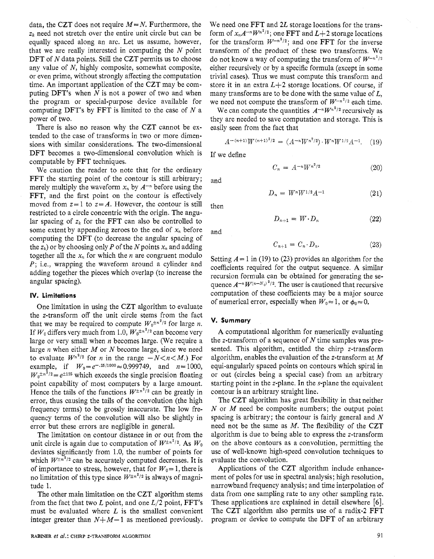data, the CZT does not require  $M = N$ . Furthermore, the *zk* need not stretch over the entire unit circle but can be equally spaced along an arc. Let us assume, however, that we are really interested in computing the *N* point DFT of *N* data points. Still the CZT permits us to choose any value of *N,* highly composite, somewhat composite, or even prime, without strongly affecting the computation time. An important application of the CZT may be computing DFT's when *N* is not a power of two and when the program or special-purpose device available for computing DFT's by FFT is limited to the case of *N* a power of two.

There is also no reason why the CZT cannot be extended to the case of transforms in two or more dimensions with similar considerations. The two-dimensional DFT becomes a two-dimensional convolution which is computable by FFT techniques.

We caution the reader to note that for the ordinary FFT the starting point of the contour is still arbitrary; merely multiply the waveform  $x_n$  by  $A^{-n}$  before using the FFT, and the first point on the contour is effectively moved from  $z = 1$  to  $z = A$ . However, the contour is still restricted to a circle concentric with the origin. The angular spacing of  $z_k$  for the FFT can also be controlled to some extent by appending zeroes to the end of  $x_n$  before computing the DFT (to decrease the angular spacing of the  $z_k$ ) or by choosing only *P* of the *N* points  $x_n$  and adding together all the  $x_n$  for which the *n* are congruent modulo *P*; i.e., wrapping the waveform around a cylinder and adding together the pieces which overlap (to increase the angular spacing).

## **IV. Limitations**

One limitation in using the CZT algorithm to evaluate the z-transform off the unit circle stems from the fact that we may be required to compute  $W_0^{\pm n^2/2}$  for large *n*. If  $W_0$  differs very much from 1.0,  $W_0 \pm n^2/2$  can become very large or very small when *n* becomes large. (We require a large *n* when either *M* or *N* become large, since we need to evaluate  $W^{n^2/2}$  for *n* in the range  $-N < n < M$ .) For example, if  $W_0 = e^{-.25/1000} \approx 0.999749$ , and  $n=1000$ ,  $W_0^{\pm n^2/2} = e^{\pm 125}$  which exceeds the single precision floating point capability of most computers by a large amount. Hence the tails of the functions  $W^{\pm n^2/2}$  can be greatly in error, thus causing the tails of the convolution (the high frequency terms) to be grossly inaccurate. The low frequency terms of the convolution will also be slightly in error but these errors are negligible in general.

The limitation on contour distance in or out from the unit circle is again due to computation of  $W^{\pm n^2/2}$ . As  $W_0$ deviates significantly from 1.0, the number of points for which  $W^{\pm n^2/2}$  can be accurately computed decreases. It is of importance to stress, however, that for  $W_0 = 1$ , there is no limitation of this type since  $W^{\pm n^2/2}$  is always of magnitude 1.

The other main limitation on the CZT algorithm stems from the fact that two L point, and one  $L/2$  point, FFT's must be evaluated where *L* is the smallest convenient integer greater than  $N+M-1$  as mentioned previously. We need one FFT and *2L* storage locations for the transform of  $x_nA^{-n}W^{n^2/2}$ ; one FFT and  $L+2$  storage locations for the transform  $W^{-n^2/2}$ ; and one FFT for the inverse transform of the product of these two transforms. We do not know a way of computing the transform of  $W^{-n^2/2}$ either recursively or by a specific formula (except in some trivial cases). Thus we must compute this transform and store it in an extra  $L+2$  storage locations. Of course, if many transforms are to be done with the same value of *L,*  we need not compute the transform of  $W^{-n^2/2}$  each time.

We can compute the quantities  $A^{-n}W^{n^2/2}$  recursively as they are needed to save computation and storage. This is easily seen from the fact that

$$
A^{-(n+1)}W^{(n+1)^2/2} = (A^{-n}W^{n^2/2}) \cdot W^n W^{1/2} A^{-1}.
$$
 (19)

If we define

$$
C_n = A^{-n} W^{n^2/2} \tag{20}
$$

$$
D_n = W^n W^{1/2} A^{-1} \tag{21}
$$

then

and

$$
D_{n+1} = W \cdot D_n \tag{22}
$$

and

$$
C_{n+1} = C_n \cdot D_n. \tag{23}
$$

Setting  $A = 1$  in (19) to (23) provides an algorithm for the coefficients required for the output sequence. **A** similar recursion formula can be obtained for generating the sequence  $A^{-n}W^{(n-N_0)^2/2}$ . The user is cautioned that recursive computation of these coefficients may be a major source of numerical error, especially when  $W_0 \approx 1$ , or  $\phi_0 \approx 0$ .

## **V. Summary**

A computational algorithm for numerically evaluating the z-transform of a sequence of *N* time samples was presented. This algorithm, entitled the chirp z-transform algorithm, enables the evaluation of the z-transform at *M*  equi-angularly spaced points on contours which spiral in or out (circles being a special case) from an arbitrary starting point in the z-plane. In the s-plane the equivalent contour is an arbitrary straight line.

The CZT algorithm has great flexibility in that neither *N* or *M* need be composite numbers; the output point spacing is arbitrary; the contour is fairly general and *N*  need not be the same as *M.* The flexibility of the CZT algorithm is due to being able to express the z-transform on the above contours as a convolution, permitting the use of well-known high-speed convolution techniques to evaluate the convolution.

Applications of the CZT algorithm include enhancement of poles for use in spectral analysis; high resolution, narrowband frequency analysis; and time interpolation of data from one sampling rate to any other sampling rate. These applications are explained in detail elsewhere *[6].*  The CZT algorithm also permits use of a radix-2 FFT program or device to compute the DFT of an arbitrary